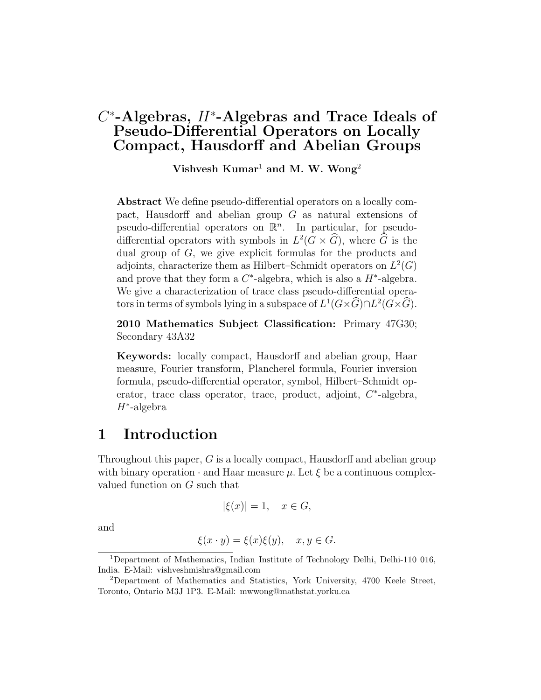# $C^*$ -Algebras,  $H^*$ -Algebras and Trace Ideals of Pseudo-Differential Operators on Locally Compact, Hausdorff and Abelian Groups

Vishvesh Kumar<sup>1</sup> and M. W. Wong<sup>2</sup>

Abstract We define pseudo-differential operators on a locally compact, Hausdorff and abelian group G as natural extensions of pseudo-differential operators on  $\mathbb{R}^n$ . In particular, for pseudodifferential operators with symbols in  $L^2(G \times \widehat{G})$ , where  $\widehat{G}$  is the dual group of G, we give explicit formulas for the products and adjoints, characterize them as Hilbert–Schmidt operators on  $L^2(G)$ and prove that they form a  $C^*$ -algebra, which is also a  $H^*$ -algebra. We give a characterization of trace class pseudo-differential operators in terms of symbols lying in a subspace of  $L^1(G\times\widehat{G})\cap L^2(G\times\widehat{G}).$ 

2010 Mathematics Subject Classification: Primary 47G30; Secondary 43A32

Keywords: locally compact, Hausdorff and abelian group, Haar measure, Fourier transform, Plancherel formula, Fourier inversion formula, pseudo-differential operator, symbol, Hilbert–Schmidt operator, trace class operator, trace, product, adjoint, C<sup>\*</sup>-algebra, H<sup>∗</sup> -algebra

## 1 Introduction

Throughout this paper, G is a locally compact, Hausdorff and abelian group with binary operation  $\cdot$  and Haar measure  $\mu$ . Let  $\xi$  be a continuous complexvalued function on G such that

$$
|\xi(x)| = 1, \quad x \in G,
$$

and

$$
\xi(x \cdot y) = \xi(x)\xi(y), \quad x, y \in G.
$$

<sup>1</sup>Department of Mathematics, Indian Institute of Technology Delhi, Delhi-110 016, India. E-Mail: vishveshmishra@gmail.com

<sup>2</sup>Department of Mathematics and Statistics, York University, 4700 Keele Street, Toronto, Ontario M3J 1P3. E-Mail: mwwong@mathstat.yorku.ca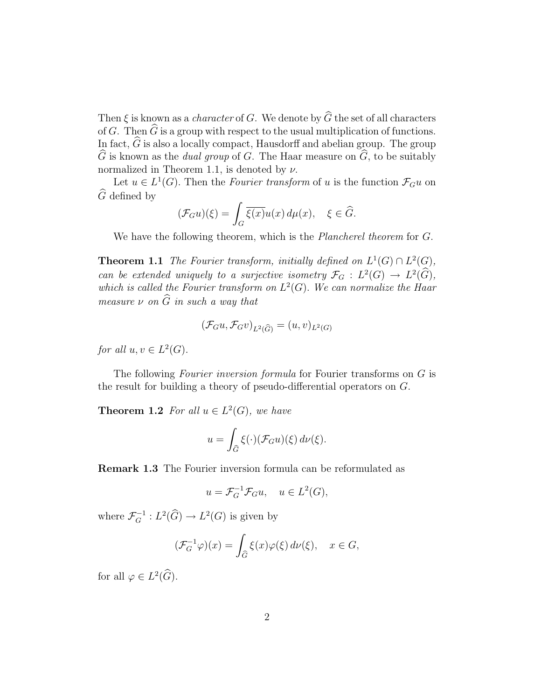Then  $\xi$  is known as a *character* of G. We denote by  $\widehat{G}$  the set of all characters of G. Then  $\widehat{G}$  is a group with respect to the usual multiplication of functions. In fact,  $\hat{G}$  is also a locally compact, Hausdorff and abelian group. The group  $\widehat{G}$  is known as the *dual group* of G. The Haar measure on  $\widehat{G}$ , to be suitably normalized in Theorem 1.1, is denoted by  $\nu$ .

Let  $u \in L^1(G)$ . Then the *Fourier transform* of u is the function  $\mathcal{F}_G u$  on  $\widehat{G}$  defined by

$$
(\mathcal{F}_G u)(\xi) = \int_G \overline{\xi(x)} u(x) d\mu(x), \quad \xi \in \widehat{G}.
$$

We have the following theorem, which is the *Plancherel theorem* for G.

**Theorem 1.1** The Fourier transform, initially defined on  $L^1(G) \cap L^2(G)$ , can be extended uniquely to a surjective isometry  $\mathcal{F}_G : L^2(G) \to L^2(G)$ , which is called the Fourier transform on  $L^2(G)$ . We can normalize the Haar measure  $\nu$  on  $\widehat{G}$  in such a way that

$$
(\mathcal{F}_G u, \mathcal{F}_G v)_{L^2(\widehat{G})} = (u, v)_{L^2(G)}
$$

for all  $u, v \in L^2(G)$ .

The following Fourier inversion formula for Fourier transforms on G is the result for building a theory of pseudo-differential operators on G.

**Theorem 1.2** For all  $u \in L^2(G)$ , we have

$$
u = \int_{\widehat{G}} \xi(\cdot) (\mathcal{F}_G u)(\xi) d\nu(\xi).
$$

Remark 1.3 The Fourier inversion formula can be reformulated as

$$
u = \mathcal{F}_G^{-1} \mathcal{F}_G u, \quad u \in L^2(G),
$$

where  $\mathcal{F}_G^{-1}: L^2(\widehat{G}) \to L^2(G)$  is given by

$$
(\mathcal{F}_G^{-1}\varphi)(x) = \int_{\widehat{G}} \xi(x)\varphi(\xi) d\nu(\xi), \quad x \in G,
$$

for all  $\varphi \in L^2(\widehat{G})$ .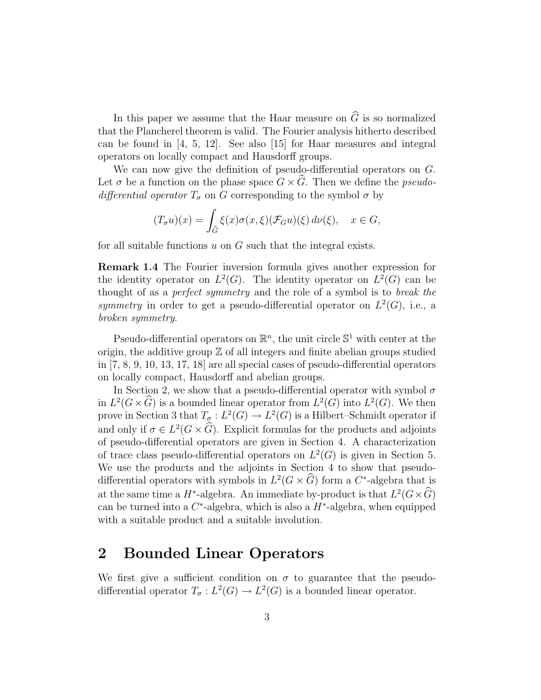In this paper we assume that the Haar measure on  $\hat{G}$  is so normalized that the Plancherel theorem is valid. The Fourier analysis hitherto described can be found in [4, 5, 12]. See also [15] for Haar measures and integral operators on locally compact and Hausdorff groups.

We can now give the definition of pseudo-differential operators on  $G$ . Let  $\sigma$  be a function on the phase space  $G \times \widehat{G}$ . Then we define the *pseudo*differential operator  $T_{\sigma}$  on G corresponding to the symbol  $\sigma$  by

$$
(T_{\sigma}u)(x) = \int_{\widehat{G}} \xi(x)\sigma(x,\xi)(\mathcal{F}_G u)(\xi) d\nu(\xi), \quad x \in G,
$$

for all suitable functions  $u$  on  $G$  such that the integral exists.

Remark 1.4 The Fourier inversion formula gives another expression for the identity operator on  $L^2(G)$ . The identity operator on  $L^2(G)$  can be thought of as a perfect symmetry and the role of a symbol is to break the symmetry in order to get a pseudo-differential operator on  $L^2(G)$ , i.e., a broken symmetry.

Pseudo-differential operators on  $\mathbb{R}^n$ , the unit circle  $\mathbb{S}^1$  with center at the origin, the additive group  $\mathbb Z$  of all integers and finite abelian groups studied in [7, 8, 9, 10, 13, 17, 18] are all special cases of pseudo-differential operators on locally compact, Hausdorff and abelian groups.

In Section 2, we show that a pseudo-differential operator with symbol  $\sigma$ in  $L^2(G \times \widehat{G})$  is a bounded linear operator from  $L^2(G)$  into  $L^2(G)$ . We then prove in Section 3 that  $T_{\sigma}: L^2(G) \to L^2(G)$  is a Hilbert–Schmidt operator if and only if  $\sigma \in L^2(G \times \widehat{G})$ . Explicit formulas for the products and adjoints of pseudo-differential operators are given in Section 4. A characterization of trace class pseudo-differential operators on  $L^2(G)$  is given in Section 5. We use the products and the adjoints in Section 4 to show that pseudodifferential operators with symbols in  $L^2(G \times \widehat{G})$  form a  $C^*$ -algebra that is at the same time a  $H^*$ -algebra. An immediate by-product is that  $L^2(G \times \widehat{G})$ can be turned into a  $C^*$ -algebra, which is also a  $H^*$ -algebra, when equipped with a suitable product and a suitable involution.

## 2 Bounded Linear Operators

We first give a sufficient condition on  $\sigma$  to guarantee that the pseudodifferential operator  $T_{\sigma}: L^2(G) \to L^2(G)$  is a bounded linear operator.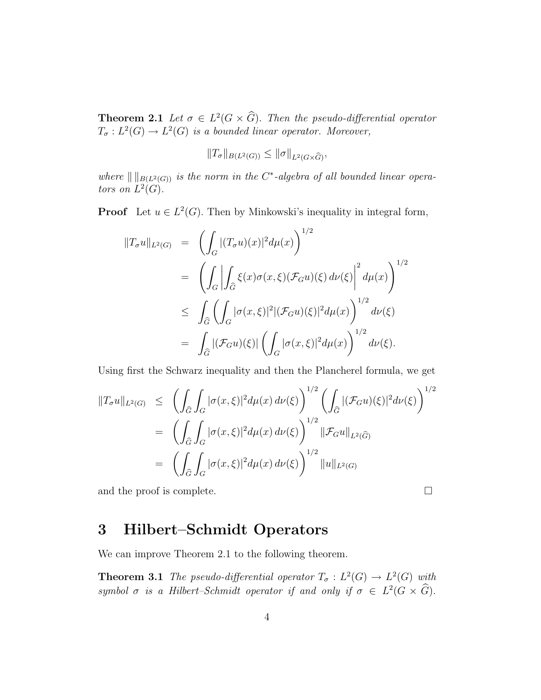**Theorem 2.1** Let  $\sigma \in L^2(G \times \widehat{G})$ . Then the pseudo-differential operator  $T_{\sigma}: L^2(G) \to L^2(G)$  is a bounded linear operator. Moreover,

$$
||T_{\sigma}||_{B(L^2(G))} \le ||\sigma||_{L^2(G\times \widehat{G})},
$$

where  $\| \|_{B(L^2(G))}$  is the norm in the C<sup>\*</sup>-algebra of all bounded linear operators on  $L^2(G)$ .

**Proof** Let  $u \in L^2(G)$ . Then by Minkowski's inequality in integral form,

$$
\begin{split}\n\|T_{\sigma}u\|_{L^{2}(G)} &= \left(\int_{G} |(T_{\sigma}u)(x)|^{2} d\mu(x)\right)^{1/2} \\
&= \left(\int_{G} \left|\int_{\widehat{G}} \xi(x)\sigma(x,\xi)(\mathcal{F}_{G}u)(\xi) d\nu(\xi)\right|^{2} d\mu(x)\right)^{1/2} \\
&\leq \int_{\widehat{G}} \left(\int_{G} |\sigma(x,\xi)|^{2} |(\mathcal{F}_{G}u)(\xi)|^{2} d\mu(x)\right)^{1/2} d\nu(\xi) \\
&= \int_{\widehat{G}} |(\mathcal{F}_{G}u)(\xi)| \left(\int_{G} |\sigma(x,\xi)|^{2} d\mu(x)\right)^{1/2} d\nu(\xi).\n\end{split}
$$

Using first the Schwarz inequality and then the Plancherel formula, we get

$$
\begin{aligned}\n\|T_{\sigma}u\|_{L^2(G)} &\leq \left(\int_{\widehat{G}}\int_G |\sigma(x,\xi)|^2 d\mu(x) \,d\nu(\xi)\right)^{1/2} \left(\int_{\widehat{G}} |(\mathcal{F}_G u)(\xi)|^2 d\nu(\xi)\right)^{1/2} \\
&= \left(\int_{\widehat{G}}\int_G |\sigma(x,\xi)|^2 d\mu(x) \,d\nu(\xi)\right)^{1/2} \|\mathcal{F}_G u\|_{L^2(\widehat{G})} \\
&= \left(\int_{\widehat{G}}\int_G |\sigma(x,\xi)|^2 d\mu(x) \,d\nu(\xi)\right)^{1/2} \|u\|_{L^2(G)}\n\end{aligned}
$$

and the proof is complete.

# 3 Hilbert–Schmidt Operators

We can improve Theorem 2.1 to the following theorem.

**Theorem 3.1** The pseudo-differential operator  $T_{\sigma}: L^2(G) \to L^2(G)$  with symbol  $\sigma$  is a Hilbert–Schmidt operator if and only if  $\sigma \in L^2(G \times \widehat{G})$ .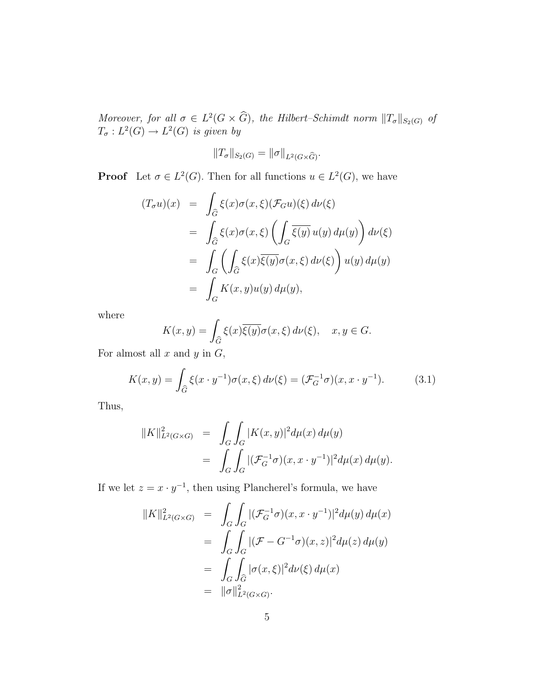Moreover, for all  $\sigma \in L^2(G \times \widehat{G})$ , the Hilbert–Schimdt norm  $||T_{\sigma}||_{S_2(G)}$  of  $T_{\sigma}: L^2(G) \to L^2(G)$  is given by

$$
||T_{\sigma}||_{S_2(G)} = ||\sigma||_{L^2(G\times \widehat{G})}.
$$

**Proof** Let  $\sigma \in L^2(G)$ . Then for all functions  $u \in L^2(G)$ , we have

$$
(T_{\sigma}u)(x) = \int_{\widehat{G}} \xi(x)\sigma(x,\xi)(\mathcal{F}_{G}u)(\xi) d\nu(\xi)
$$
  

$$
= \int_{\widehat{G}} \xi(x)\sigma(x,\xi) \left( \int_{G} \overline{\xi(y)} u(y) d\mu(y) \right) d\nu(\xi)
$$
  

$$
= \int_{G} \left( \int_{\widehat{G}} \xi(x)\overline{\xi(y)}\sigma(x,\xi) d\nu(\xi) \right) u(y) d\mu(y)
$$
  

$$
= \int_{G} K(x,y)u(y) d\mu(y),
$$

where

$$
K(x,y) = \int_{\widehat{G}} \xi(x) \overline{\xi(y)} \sigma(x,\xi) d\nu(\xi), \quad x, y \in G.
$$

For almost all  $x$  and  $y$  in  $G$ ,

$$
K(x,y) = \int_{\widehat{G}} \xi(x \cdot y^{-1}) \sigma(x,\xi) \, d\nu(\xi) = (\mathcal{F}_G^{-1} \sigma)(x, x \cdot y^{-1}). \tag{3.1}
$$

Thus,

$$
||K||_{L^{2}(G\times G)}^{2} = \int_{G} \int_{G} |K(x,y)|^{2} d\mu(x) d\mu(y)
$$
  
= 
$$
\int_{G} \int_{G} |(\mathcal{F}_{G}^{-1}\sigma)(x, x \cdot y^{-1})|^{2} d\mu(x) d\mu(y).
$$

If we let  $z = x \cdot y^{-1}$ , then using Plancherel's formula, we have

$$
||K||_{L^{2}(G\times G)}^{2} = \int_{G} \int_{G} |(\mathcal{F}_{G}^{-1}\sigma)(x, x \cdot y^{-1})|^{2} d\mu(y) d\mu(x)
$$
  

$$
= \int_{G} \int_{G} |(\mathcal{F} - G^{-1}\sigma)(x, z)|^{2} d\mu(z) d\mu(y)
$$
  

$$
= \int_{G} \int_{\widehat{G}} |\sigma(x, \xi)|^{2} d\nu(\xi) d\mu(x)
$$
  

$$
= ||\sigma||_{L^{2}(G\times G)}^{2}.
$$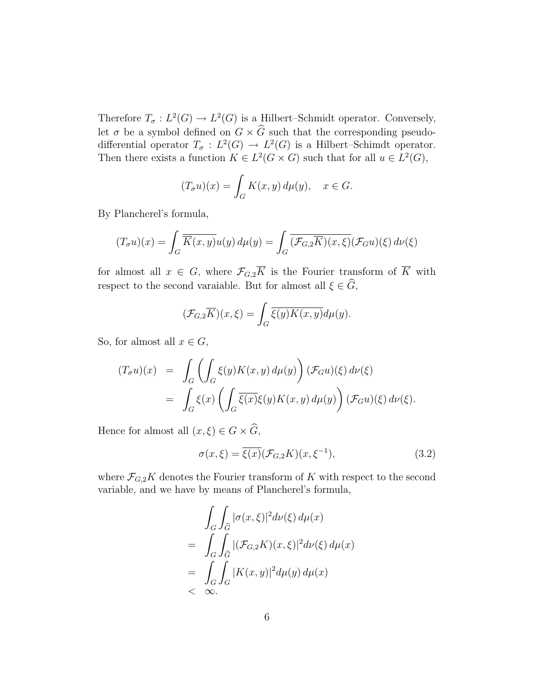Therefore  $T_{\sigma}: L^2(G) \to L^2(G)$  is a Hilbert–Schmidt operator. Conversely, let  $\sigma$  be a symbol defined on  $G \times \widehat{G}$  such that the corresponding pseudodifferential operator  $T_{\sigma}: L^2(G) \to L^2(G)$  is a Hilbert–Schimdt operator. Then there exists a function  $K \in L^2(G \times G)$  such that for all  $u \in L^2(G)$ ,

$$
(T_{\sigma}u)(x) = \int_G K(x, y) d\mu(y), \quad x \in G.
$$

By Plancherel's formula,

$$
(T_{\sigma}u)(x) = \int_G \overline{\overline{K}(x,y)}u(y) d\mu(y) = \int_G \overline{(\mathcal{F}_{G,2}\overline{K})(x,\xi)}(\mathcal{F}_G u)(\xi) d\nu(\xi)
$$

for almost all  $x \in G$ , where  $\mathcal{F}_{G,2}\overline{K}$  is the Fourier transform of  $\overline{K}$  with respect to the second varaiable. But for almost all  $\xi \in \widehat{G}$ ,

$$
(\mathcal{F}_{G,2}\overline{K})(x,\xi) = \int_G \overline{\xi(y)K(x,y)}d\mu(y).
$$

So, for almost all  $x \in G$ ,

$$
(T_{\sigma}u)(x) = \int_{G} \left( \int_{G} \xi(y)K(x,y) d\mu(y) \right) (\mathcal{F}_{G}u)(\xi) d\nu(\xi)
$$
  

$$
= \int_{G} \xi(x) \left( \int_{G} \overline{\xi(x)}\xi(y)K(x,y) d\mu(y) \right) (\mathcal{F}_{G}u)(\xi) d\nu(\xi).
$$

Hence for almost all  $(x, \xi) \in G \times \widehat{G}$ ,

$$
\sigma(x,\xi) = \overline{\xi(x)}(\mathcal{F}_{G,2}K)(x,\xi^{-1}),\tag{3.2}
$$

where  $\mathcal{F}_{G,2}K$  denotes the Fourier transform of K with respect to the second variable, and we have by means of Plancherel's formula,

$$
\int_G \int_{\widehat{G}} |\sigma(x,\xi)|^2 d\nu(\xi) d\mu(x)
$$
\n
$$
= \int_G \int_{\widehat{G}} |(\mathcal{F}_{G,2}K)(x,\xi)|^2 d\nu(\xi) d\mu(x)
$$
\n
$$
= \int_G \int_G |K(x,y)|^2 d\mu(y) d\mu(x)
$$
\n
$$
< \infty.
$$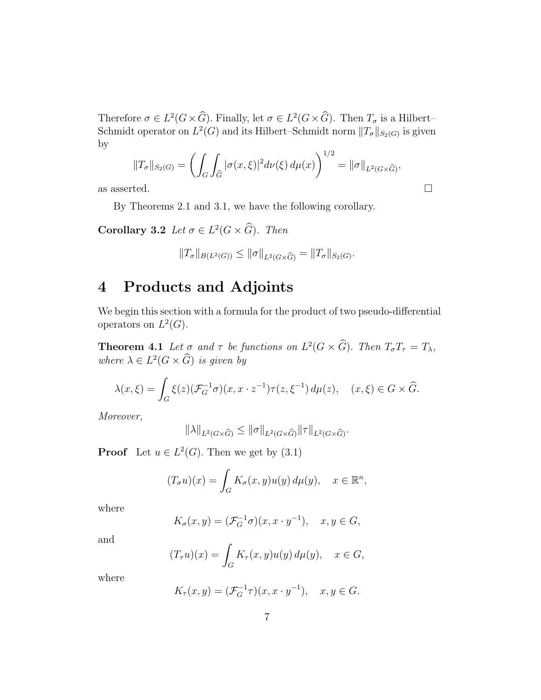Therefore  $\sigma \in L^2(G \times \widehat{G})$ . Finally, let  $\sigma \in L^2(G \times \widehat{G})$ . Then  $T_{\sigma}$  is a Hilbert– Schmidt operator on  $L^2(G)$  and its Hilbert–Schmidt norm  $||T_{\sigma}||_{S_2(G)}$  is given by

$$
||T_{\sigma}||_{S_2(G)} = \left(\int_G \int_{\widehat{G}} |\sigma(x,\xi)|^2 d\nu(\xi) d\mu(x)\right)^{1/2} = ||\sigma||_{L^2(G \times \widehat{G})},
$$
as asserted.

By Theorems 2.1 and 3.1, we have the following corollary.

**Corollary 3.2** Let  $\sigma \in L^2(G \times \widehat{G})$ . Then

$$
||T_{\sigma}||_{B(L^{2}(G))} \leq ||\sigma||_{L^{2}(G \times \widehat{G})} = ||T_{\sigma}||_{S_{2}(G)}.
$$

### 4 Products and Adjoints

We begin this section with a formula for the product of two pseudo-differential operators on  $L^2(G)$ .

**Theorem 4.1** Let  $\sigma$  and  $\tau$  be functions on  $L^2(G \times \widehat{G})$ . Then  $T_{\sigma}T_{\tau} = T_{\lambda}$ , where  $\lambda \in L^2(G \times \widehat{G})$  is given by

$$
\lambda(x,\xi) = \int_G \xi(z) (\mathcal{F}_G^{-1}\sigma)(x, x \cdot z^{-1}) \tau(z, \xi^{-1}) d\mu(z), \quad (x,\xi) \in G \times \widehat{G}.
$$

Moreover,

$$
\|\lambda\|_{L^2(G\times\widehat{G})}\le\|\sigma\|_{L^2(G\times\widehat{G})}\|\tau\|_{L^2(G\times\widehat{G})}.
$$

**Proof** Let  $u \in L^2(G)$ . Then we get by  $(3.1)$ 

$$
(T_{\sigma}u)(x) = \int_G K_{\sigma}(x, y)u(y) d\mu(y), \quad x \in \mathbb{R}^n,
$$

where

$$
K_{\sigma}(x,y)=(\mathcal{F}_G^{-1}\sigma)(x,x\cdot y^{-1}),\quad x,y\in G,
$$

and

$$
(T_{\tau}u)(x) = \int_G K_{\tau}(x, y)u(y) d\mu(y), \quad x \in G,
$$

where

$$
K_{\tau}(x, y) = (\mathcal{F}_G^{-1} \tau)(x, x \cdot y^{-1}), \quad x, y \in G.
$$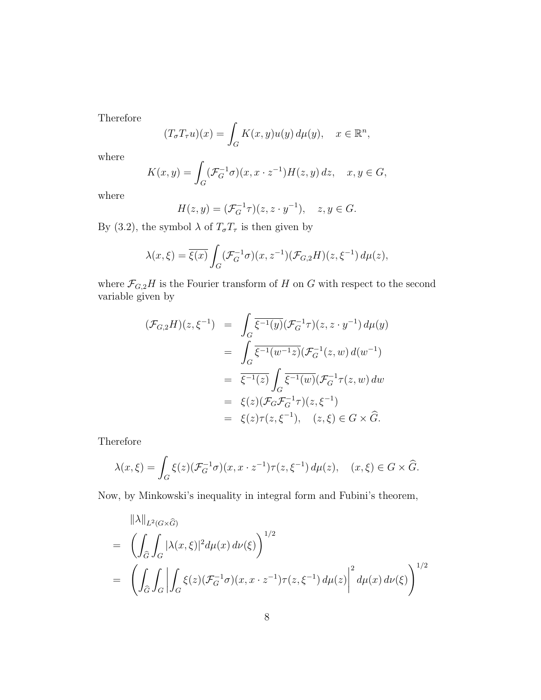Therefore

$$
(T_{\sigma}T_{\tau}u)(x) = \int_G K(x, y)u(y) d\mu(y), \quad x \in \mathbb{R}^n,
$$

where

$$
K(x,y) = \int_G (\mathcal{F}_G^{-1}\sigma)(x, x \cdot z^{-1})H(z,y) dz, \quad x, y \in G,
$$

where

$$
H(z, y) = (\mathcal{F}_G^{-1} \tau)(z, z \cdot y^{-1}), \quad z, y \in G.
$$

By (3.2), the symbol  $\lambda$  of  $T_{\sigma}T_{\tau}$  is then given by

$$
\lambda(x,\xi) = \overline{\xi(x)} \int_G (\mathcal{F}_G^{-1}\sigma)(x,z^{-1})(\mathcal{F}_{G,2}H)(z,\xi^{-1}) d\mu(z),
$$

where  $\mathcal{F}_{G,2}H$  is the Fourier transform of  $H$  on  $G$  with respect to the second variable given by

$$
(\mathcal{F}_{G,2}H)(z,\xi^{-1}) = \int_G \overline{\xi^{-1}(y)} (\mathcal{F}_G^{-1}\tau)(z,z \cdot y^{-1}) d\mu(y)
$$
  
\n
$$
= \int_G \overline{\xi^{-1}(w^{-1}z)} (\mathcal{F}_G^{-1}(z,w) d(w^{-1}))
$$
  
\n
$$
= \overline{\xi^{-1}(z)} \int_G \overline{\xi^{-1}(w)} (\mathcal{F}_G^{-1}\tau(z,w) dw)
$$
  
\n
$$
= \xi(z) (\mathcal{F}_G \mathcal{F}_G^{-1}\tau)(z,\xi^{-1})
$$
  
\n
$$
= \xi(z) \tau(z,\xi^{-1}), \quad (z,\xi) \in G \times \widehat{G}.
$$

Therefore

$$
\lambda(x,\xi) = \int_G \xi(z) (\mathcal{F}_G^{-1}\sigma)(x, x \cdot z^{-1}) \tau(z, \xi^{-1}) d\mu(z), \quad (x,\xi) \in G \times \widehat{G}.
$$

Now, by Minkowski's inequality in integral form and Fubini's theorem,

$$
\|\lambda\|_{L^2(G\times\widehat{G})}
$$
\n
$$
= \left( \int_{\widehat{G}} \int_G |\lambda(x,\xi)|^2 d\mu(x) d\nu(\xi) \right)^{1/2}
$$
\n
$$
= \left( \int_{\widehat{G}} \int_G \left| \int_G \xi(z) (\mathcal{F}_G^{-1}\sigma)(x, x \cdot z^{-1}) \tau(z, \xi^{-1}) d\mu(z) \right|^2 d\mu(x) d\nu(\xi) \right)^{1/2}
$$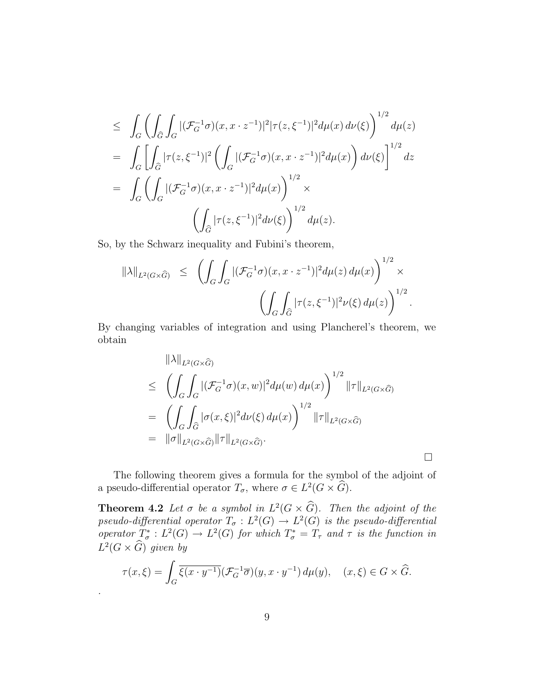$$
\leq \int_G \left( \int_{\widehat{G}} \int_G |(\mathcal{F}_G^{-1}\sigma)(x, x \cdot z^{-1})|^2 |\tau(z, \xi^{-1})|^2 d\mu(x) d\nu(\xi) \right)^{1/2} d\mu(z)
$$
\n
$$
= \int_G \left[ \int_{\widehat{G}} |\tau(z, \xi^{-1})|^2 \left( \int_G |(\mathcal{F}_G^{-1}\sigma)(x, x \cdot z^{-1})|^2 d\mu(x) \right) d\nu(\xi) \right]^{1/2} dz
$$
\n
$$
= \int_G \left( \int_G |(\mathcal{F}_G^{-1}\sigma)(x, x \cdot z^{-1})|^2 d\mu(x) \right)^{1/2} \times \left( \int_{\widehat{G}} |\tau(z, \xi^{-1})|^2 d\nu(\xi) \right)^{1/2} d\mu(z).
$$

So, by the Schwarz inequality and Fubini's theorem,

$$
\|\lambda\|_{L^2(G\times\widehat{G})} \leq \left(\int_G \int_G |(\mathcal{F}_G^{-1}\sigma)(x, x \cdot z^{-1})|^2 d\mu(z) d\mu(x)\right)^{1/2} \times \left(\int_G \int_{\widehat{G}} |\tau(z, \xi^{-1})|^2 \nu(\xi) d\mu(z)\right)^{1/2}.
$$

By changing variables of integration and using Plancherel's theorem, we obtain

$$
\|\lambda\|_{L^2(G\times\widehat{G})}
$$
\n
$$
\leq \left( \int_G \int_G |(\mathcal{F}_G^{-1}\sigma)(x,w)|^2 d\mu(w) d\mu(x) \right)^{1/2} \|\tau\|_{L^2(G\times\widehat{G})}
$$
\n
$$
= \left( \int_G \int_{\widehat{G}} |\sigma(x,\xi)|^2 d\nu(\xi) d\mu(x) \right)^{1/2} \|\tau\|_{L^2(G\times\widehat{G})}
$$
\n
$$
= \|\sigma\|_{L^2(G\times\widehat{G})} \|\tau\|_{L^2(G\times\widehat{G})}.
$$

 $\Box$ 

The following theorem gives a formula for the symbol of the adjoint of a pseudo-differential operator  $T_{\sigma}$ , where  $\sigma \in L^2(G \times \widehat{G})$ .

**Theorem 4.2** Let  $\sigma$  be a symbol in  $L^2(G \times \widehat{G})$ . Then the adjoint of the pseudo-differential operator  $T_{\sigma}: L^2(G) \to L^2(G)$  is the pseudo-differential operator  $T^*_{\sigma}: L^2(G) \to L^2(G)$  for which  $T^*_{\sigma} = T_{\tau}$  and  $\tau$  is the function in  $L^2(G \times \widehat{G})$  given by

$$
\tau(x,\xi) = \int_G \overline{\xi(x \cdot y^{-1})} (\mathcal{F}_G^{-1} \overline{\sigma})(y, x \cdot y^{-1}) d\mu(y), \quad (x,\xi) \in G \times \widehat{G}.
$$

.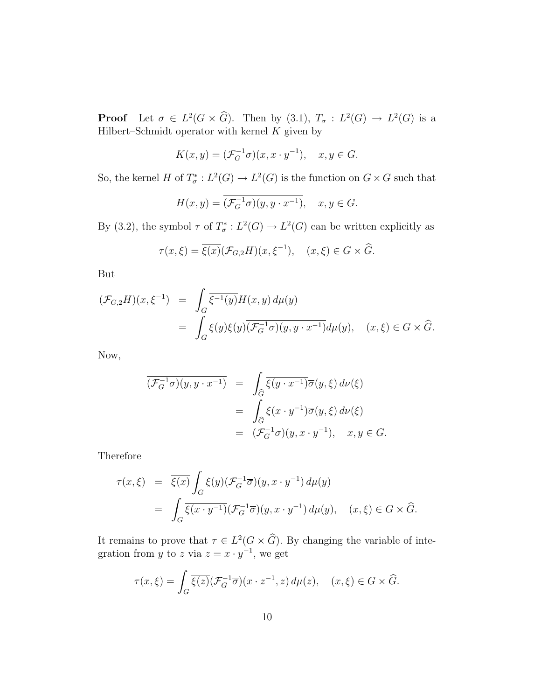**Proof** Let  $\sigma \in L^2(G \times \widehat{G})$ . Then by  $(3.1), T_{\sigma}: L^2(G) \to L^2(G)$  is a Hilbert–Schmidt operator with kernel  $K$  given by

$$
K(x, y) = (\mathcal{F}_G^{-1} \sigma)(x, x \cdot y^{-1}), \quad x, y \in G.
$$

So, the kernel H of  $T^*_{\sigma}: L^2(G) \to L^2(G)$  is the function on  $G \times G$  such that

$$
H(x,y) = \overline{(\mathcal{F}_G^{-1}\sigma)(y, y \cdot x^{-1})}, \quad x, y \in G.
$$

By (3.2), the symbol  $\tau$  of  $T^*_{\sigma}: L^2(G) \to L^2(G)$  can be written explicitly as

$$
\tau(x,\xi) = \overline{\xi(x)}(\mathcal{F}_{G,2}H)(x,\xi^{-1}), \quad (x,\xi) \in G \times \widehat{G}.
$$

But

$$
\begin{aligned} (\mathcal{F}_{G,2}H)(x,\xi^{-1}) &= \int_G \overline{\xi^{-1}(y)}H(x,y)\,d\mu(y) \\ &= \int_G \xi(y)\xi(y)\overline{(\mathcal{F}_G^{-1}\sigma)(y,y\cdot x^{-1})}d\mu(y), \quad (x,\xi)\in G\times\widehat{G}. \end{aligned}
$$

Now,

$$
\overline{(\mathcal{F}_G^{-1}\sigma)(y, y \cdot x^{-1})} = \int_{\widehat{G}} \overline{\xi(y \cdot x^{-1})} \overline{\sigma}(y, \xi) d\nu(\xi)
$$
  

$$
= \int_{\widehat{G}} \xi(x \cdot y^{-1}) \overline{\sigma}(y, \xi) d\nu(\xi)
$$
  

$$
= (\mathcal{F}_G^{-1}\overline{\sigma})(y, x \cdot y^{-1}), \quad x, y \in G.
$$

Therefore

$$
\tau(x,\xi) = \overline{\xi(x)} \int_G \xi(y) (\mathcal{F}_G^{-1}\overline{\sigma})(y, x \cdot y^{-1}) d\mu(y)
$$
  
= 
$$
\int_G \overline{\xi(x \cdot y^{-1})} (\mathcal{F}_G^{-1}\overline{\sigma})(y, x \cdot y^{-1}) d\mu(y), \quad (x,\xi) \in G \times \widehat{G}.
$$

It remains to prove that  $\tau \in L^2(G \times \widehat{G})$ . By changing the variable of integration from y to z via  $z = x \cdot y^{-1}$ , we get

$$
\tau(x,\xi) = \int_G \overline{\xi(z)} (\mathcal{F}_G^{-1}\overline{\sigma})(x \cdot z^{-1}, z) d\mu(z), \quad (x,\xi) \in G \times \widehat{G}.
$$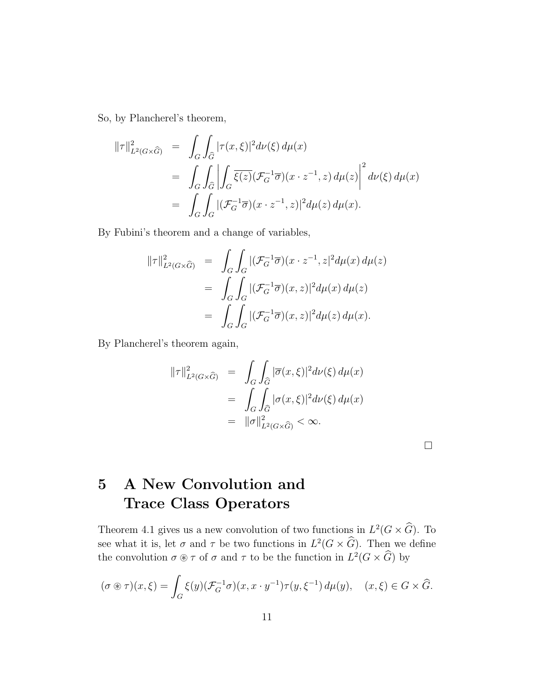So, by Plancherel's theorem,

$$
\begin{split} \|\tau\|_{L^2(G\times\widehat{G})}^2 &= \int_G \int_{\widehat{G}} |\tau(x,\xi)|^2 d\nu(\xi) \, d\mu(x) \\ &= \int_G \int_{\widehat{G}} \left| \int_G \overline{\xi(z)} (\mathcal{F}_G^{-1}\overline{\sigma})(x \cdot z^{-1}, z) \, d\mu(z) \right|^2 d\nu(\xi) \, d\mu(x) \\ &= \int_G \int_G |(\mathcal{F}_G^{-1}\overline{\sigma})(x \cdot z^{-1}, z)|^2 d\mu(z) \, d\mu(x). \end{split}
$$

By Fubini's theorem and a change of variables,

$$
\|\tau\|_{L^2(G\times\widehat{G})}^2 = \int_G \int_G |(\mathcal{F}_G^{-1}\overline{\sigma})(x \cdot z^{-1}, z|^2 d\mu(x) d\mu(z))
$$
  

$$
= \int_G \int_G |(\mathcal{F}_G^{-1}\overline{\sigma})(x, z)|^2 d\mu(x) d\mu(z)
$$
  

$$
= \int_G \int_G |(\mathcal{F}_G^{-1}\overline{\sigma})(x, z)|^2 d\mu(z) d\mu(x).
$$

By Plancherel's theorem again,

$$
\|\tau\|_{L^2(G\times\widehat{G})}^2 = \int_G \int_{\widehat{G}} |\overline{\sigma}(x,\xi)|^2 d\nu(\xi) d\mu(x)
$$
  
= 
$$
\int_G \int_{\widehat{G}} |\sigma(x,\xi)|^2 d\nu(\xi) d\mu(x)
$$
  
= 
$$
\|\sigma\|_{L^2(G\times\widehat{G})}^2 < \infty.
$$

# 5 A New Convolution and Trace Class Operators

Theorem 4.1 gives us a new convolution of two functions in  $L^2(G \times \widehat{G})$ . To see what it is, let  $\sigma$  and  $\tau$  be two functions in  $L^2(G \times \widehat{G})$ . Then we define the convolution  $\sigma \circledast \tau$  of  $\sigma$  and  $\tau$  to be the function in  $L^2(G \times \widehat{G})$  by

$$
(\sigma \circledast \tau)(x,\xi) = \int_G \xi(y) (\mathcal{F}_G^{-1}\sigma)(x,x \cdot y^{-1}) \tau(y,\xi^{-1}) d\mu(y), \quad (x,\xi) \in G \times \widehat{G}.
$$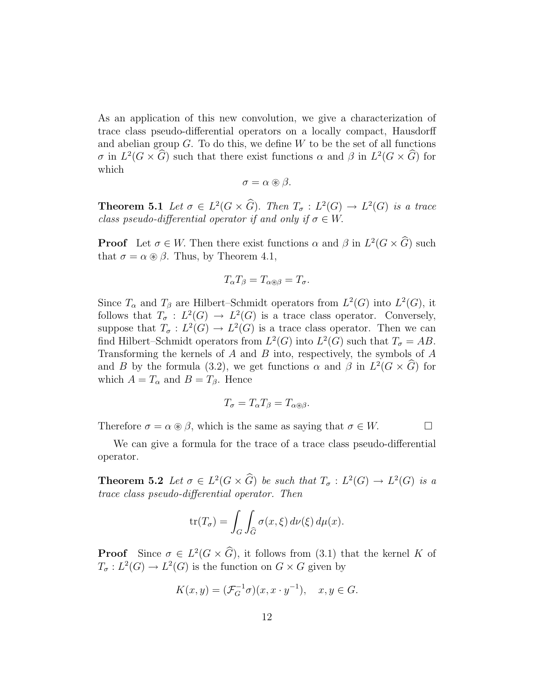As an application of this new convolution, we give a characterization of trace class pseudo-differential operators on a locally compact, Hausdorff and abelian group  $G$ . To do this, we define  $W$  to be the set of all functions  $\sigma$  in  $L^2(G \times \widehat{G})$  such that there exist functions  $\alpha$  and  $\beta$  in  $L^2(G \times \widehat{G})$  for which

$$
\sigma = \alpha \circledast \beta.
$$

**Theorem 5.1** Let  $\sigma \in L^2(G \times \widehat{G})$ . Then  $T_{\sigma}: L^2(G) \to L^2(G)$  is a trace class pseudo-differential operator if and only if  $\sigma \in W$ .

**Proof** Let  $\sigma \in W$ . Then there exist functions  $\alpha$  and  $\beta$  in  $L^2(G \times \widehat{G})$  such that  $\sigma = \alpha \otimes \beta$ . Thus, by Theorem 4.1,

$$
T_{\alpha}T_{\beta}=T_{\alpha\circledast\beta}=T_{\sigma}.
$$

Since  $T_{\alpha}$  and  $T_{\beta}$  are Hilbert–Schmidt operators from  $L^2(G)$  into  $L^2(G)$ , it follows that  $T_{\sigma}: L^2(G) \to L^2(G)$  is a trace class operator. Conversely, suppose that  $T_{\sigma}: L^2(G) \to L^2(G)$  is a trace class operator. Then we can find Hilbert–Schmidt operators from  $L^2(G)$  into  $L^2(G)$  such that  $T_{\sigma} = AB$ . Transforming the kernels of A and B into, respectively, the symbols of A and B by the formula (3.2), we get functions  $\alpha$  and  $\beta$  in  $L^2(G \times \widehat{G})$  for which  $A = T_{\alpha}$  and  $B = T_{\beta}$ . Hence

$$
T_{\sigma} = T_{\alpha} T_{\beta} = T_{\alpha \circledast \beta}.
$$

Therefore  $\sigma = \alpha \otimes \beta$ , which is the same as saying that  $\sigma \in W$ .

We can give a formula for the trace of a trace class pseudo-differential operator.

**Theorem 5.2** Let  $\sigma \in L^2(G \times \widehat{G})$  be such that  $T_{\sigma}: L^2(G) \to L^2(G)$  is a trace class pseudo-differential operator. Then

$$
\operatorname{tr}(T_{\sigma}) = \int_G \int_{\widehat{G}} \sigma(x,\xi) \, d\nu(\xi) \, d\mu(x).
$$

**Proof** Since  $\sigma \in L^2(G \times \widehat{G})$ , it follows from (3.1) that the kernel K of  $T_{\sigma}: L^2(G) \to L^2(G)$  is the function on  $G \times G$  given by

$$
K(x, y) = (\mathcal{F}_G^{-1} \sigma)(x, x \cdot y^{-1}), \quad x, y \in G.
$$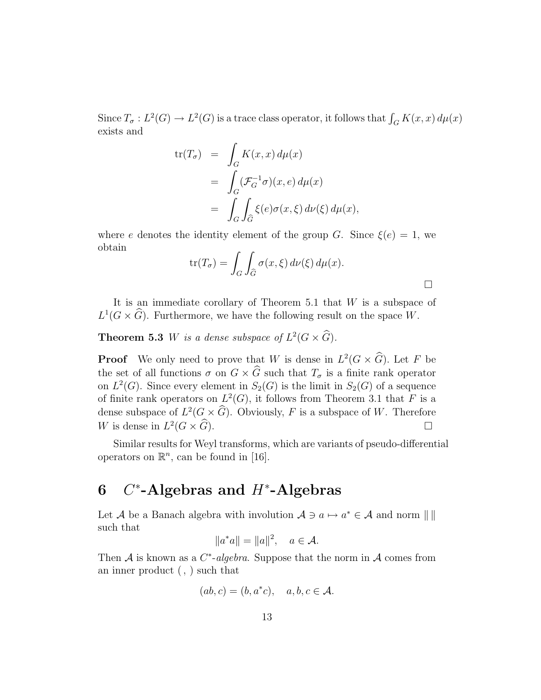Since  $T_{\sigma}: L^2(G) \to L^2(G)$  is a trace class operator, it follows that  $\int_G K(x, x) d\mu(x)$ exists and

$$
\begin{aligned} \text{tr}(T_{\sigma}) &= \int_{G} K(x, x) \, d\mu(x) \\ &= \int_{G} (\mathcal{F}_{G}^{-1} \sigma)(x, e) \, d\mu(x) \\ &= \int_{G} \int_{\widehat{G}} \xi(e) \sigma(x, \xi) \, d\nu(\xi) \, d\mu(x), \end{aligned}
$$

where e denotes the identity element of the group G. Since  $\xi(e) = 1$ , we obtain

$$
\text{tr}(T_{\sigma}) = \int_{G} \int_{\widehat{G}} \sigma(x,\xi) \, d\nu(\xi) \, d\mu(x).
$$

It is an immediate corollary of Theorem 5.1 that  $W$  is a subspace of  $L^1(G \times \widehat{G})$ . Furthermore, we have the following result on the space W.

**Theorem 5.3** W is a dense subspace of  $L^2(G \times \widehat{G})$ .

**Proof** We only need to prove that W is dense in  $L^2(G \times \widehat{G})$ . Let F be the set of all functions  $\sigma$  on  $G \times \widehat{G}$  such that  $T_{\sigma}$  is a finite rank operator on  $L^2(G)$ . Since every element in  $S_2(G)$  is the limit in  $S_2(G)$  of a sequence of finite rank operators on  $L^2(G)$ , it follows from Theorem 3.1 that F is a dense subspace of  $L^2(G \times \widehat{G})$ . Obviously, F is a subspace of W. Therefore W is dense in  $L^2(G \times \widehat{G})$ .

Similar results for Weyl transforms, which are variants of pseudo-differential operators on  $\mathbb{R}^n$ , can be found in [16].

# 6  $C^*$ -Algebras and  $H^*$ -Algebras

Let A be a Banach algebra with involution  $A \ni a \mapsto a^* \in A$  and norm  $\| \|$ such that

 $||a^*a|| = ||a||^2, \quad a \in \mathcal{A}.$ 

Then  $A$  is known as a  $C^*$ -algebra. Suppose that the norm in  $A$  comes from an inner product (, ) such that

$$
(ab, c) = (b, a^*c), \quad a, b, c \in \mathcal{A}.
$$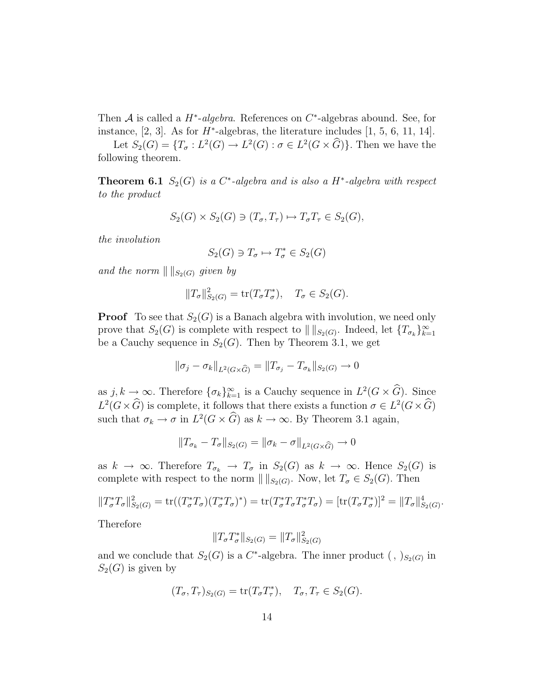Then  $A$  is called a  $H^*$ -algebra. References on  $C^*$ -algebras abound. See, for instance,  $[2, 3]$ . As for  $H^*$ -algebras, the literature includes  $[1, 5, 6, 11, 14]$ .

Let  $S_2(G) = \{T_\sigma : L^2(G) \to L^2(G) : \sigma \in L^2(G \times \widehat{G})\}$ . Then we have the following theorem.

**Theorem 6.1**  $S_2(G)$  is a  $C^*$ -algebra and is also a  $H^*$ -algebra with respect to the product

$$
S_2(G) \times S_2(G) \ni (T_{\sigma}, T_{\tau}) \mapsto T_{\sigma} T_{\tau} \in S_2(G),
$$

the involution

$$
S_2(G) \ni T_{\sigma} \mapsto T_{\sigma}^* \in S_2(G)
$$

and the norm  $\| \ \|_{S_2(G)}$  given by

$$
||T_{\sigma}||_{S_2(G)}^2 = \text{tr}(T_{\sigma}T_{\sigma}^*), \quad T_{\sigma} \in S_2(G).
$$

**Proof** To see that  $S_2(G)$  is a Banach algebra with involution, we need only prove that  $S_2(G)$  is complete with respect to  $\| \, \|_{S_2(G)}$ . Indeed, let  $\{T_{\sigma_k}\}_{k=1}^{\infty}$ be a Cauchy sequence in  $S_2(G)$ . Then by Theorem 3.1, we get

$$
\|\sigma_j - \sigma_k\|_{L^2(G \times \widehat{G})} = \|T_{\sigma_j} - T_{\sigma_k}\|_{S_2(G)} \to 0
$$

as  $j, k \to \infty$ . Therefore  $\{\sigma_k\}_{k=1}^{\infty}$  is a Cauchy sequence in  $L^2(G \times \widehat{G})$ . Since  $L^2(G\times\widehat{G})$  is complete, it follows that there exists a function  $\sigma\in L^2(G\times\widehat{G})$ such that  $\sigma_k \to \sigma$  in  $L^2(G \times \widehat{G})$  as  $k \to \infty$ . By Theorem 3.1 again,

$$
||T_{\sigma_k} - T_{\sigma}||_{S_2(G)} = ||\sigma_k - \sigma||_{L^2(G \times \widehat{G})} \to 0
$$

as  $k \to \infty$ . Therefore  $T_{\sigma_k} \to T_{\sigma}$  in  $S_2(G)$  as  $k \to \infty$ . Hence  $S_2(G)$  is complete with respect to the norm  $\| \, \|_{S_2(G)}$ . Now, let  $T_\sigma \in S_2(G)$ . Then

$$
||T_{\sigma}^*T_{\sigma}||_{S_2(G)}^2 = \text{tr}((T_{\sigma}^*T_{\sigma})(T_{\sigma}^*T_{\sigma})^*) = \text{tr}(T_{\sigma}^*T_{\sigma}T_{\sigma}^*T_{\sigma}) = [\text{tr}(T_{\sigma}T_{\sigma}^*)]^2 = ||T_{\sigma}||_{S_2(G)}^4.
$$

Therefore

$$
||T_{\sigma}T_{\sigma}^*||_{S_2(G)} = ||T_{\sigma}||_{S_2(G)}^2
$$

and we conclude that  $S_2(G)$  is a  $C^*$ -algebra. The inner product (, ) $S_2(G)$  in  $S_2(G)$  is given by

$$
(T_{\sigma}, T_{\tau})_{S_2(G)} = \text{tr}(T_{\sigma} T_{\tau}^*), \quad T_{\sigma}, T_{\tau} \in S_2(G).
$$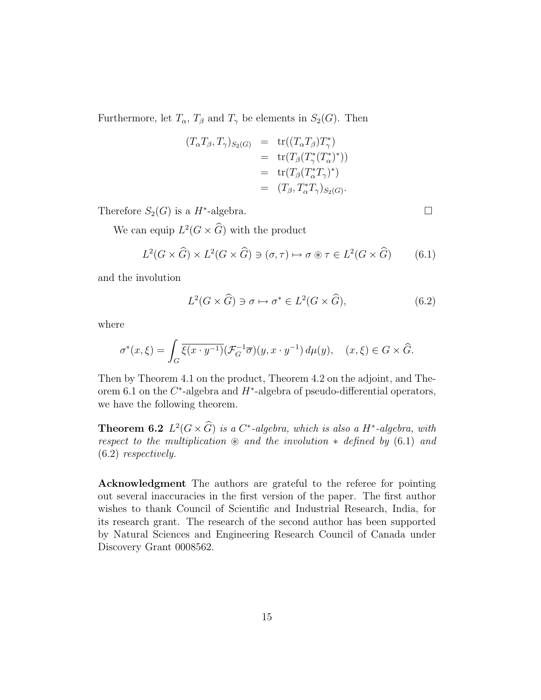Furthermore, let  $T_{\alpha}$ ,  $T_{\beta}$  and  $T_{\gamma}$  be elements in  $S_2(G)$ . Then

$$
(T_{\alpha}T_{\beta}, T_{\gamma})_{S_2(G)} = \text{tr}((T_{\alpha}T_{\beta})T_{\gamma}^*)
$$
  
= tr(T\_{\beta}(T\_{\gamma}^\*(T\_{\alpha}^\*)^\*))  
= tr(T\_{\beta}(T\_{\alpha}^\*T\_{\gamma})^\*)  
= (T\_{\beta}, T\_{\alpha}^\*T\_{\gamma})\_{S\_2(G)}^{\beta}.

Therefore  $S_2(G)$  is a  $H^*$ -algebra.

We can equip  $L^2(G \times \widehat{G})$  with the product

$$
L^2(G \times \widehat{G}) \times L^2(G \times \widehat{G}) \ni (\sigma, \tau) \mapsto \sigma \circledast \tau \in L^2(G \times \widehat{G}) \tag{6.1}
$$

and the involution

$$
L^2(G \times \widehat{G}) \ni \sigma \mapsto \sigma^* \in L^2(G \times \widehat{G}),\tag{6.2}
$$

where

$$
\sigma^*(x,\xi) = \int_G \overline{\xi(x \cdot y^{-1})} (\mathcal{F}_G^{-1}\overline{\sigma})(y, x \cdot y^{-1}) d\mu(y), \quad (x,\xi) \in G \times \widehat{G}.
$$

Then by Theorem 4.1 on the product, Theorem 4.2 on the adjoint, and Theorem 6.1 on the  $C^*$ -algebra and  $H^*$ -algebra of pseudo-differential operators, we have the following theorem.

**Theorem 6.2**  $L^2(G \times \widehat{G})$  is a  $C^*$ -algebra, which is also a  $H^*$ -algebra, with respect to the multiplication  $\otimes$  and the involution  $*$  defined by (6.1) and (6.2) respectively.

Acknowledgment The authors are grateful to the referee for pointing out several inaccuracies in the first version of the paper. The first author wishes to thank Council of Scientific and Industrial Research, India, for its research grant. The research of the second author has been supported by Natural Sciences and Engineering Research Council of Canada under Discovery Grant 0008562.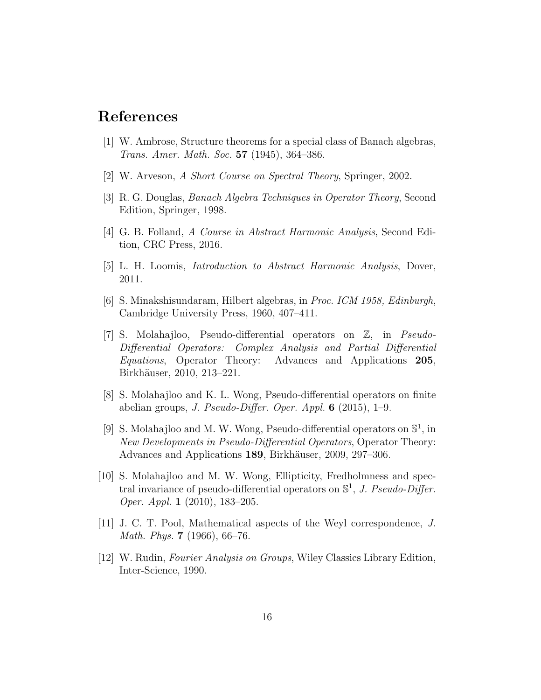### References

- [1] W. Ambrose, Structure theorems for a special class of Banach algebras, Trans. Amer. Math. Soc. 57 (1945), 364–386.
- [2] W. Arveson, A Short Course on Spectral Theory, Springer, 2002.
- [3] R. G. Douglas, Banach Algebra Techniques in Operator Theory, Second Edition, Springer, 1998.
- [4] G. B. Folland, A Course in Abstract Harmonic Analysis, Second Edition, CRC Press, 2016.
- [5] L. H. Loomis, Introduction to Abstract Harmonic Analysis, Dover, 2011.
- [6] S. Minakshisundaram, Hilbert algebras, in Proc. ICM 1958, Edinburgh, Cambridge University Press, 1960, 407–411.
- [7] S. Molahajloo, Pseudo-differential operators on Z, in Pseudo-Differential Operators: Complex Analysis and Partial Differential Equations, Operator Theory: Advances and Applications 205, Birkhäuser, 2010, 213–221.
- [8] S. Molahajloo and K. L. Wong, Pseudo-differential operators on finite abelian groups, *J. Pseudo-Differ. Oper. Appl.*  $6$  (2015), 1–9.
- [9] S. Molahajloo and M. W. Wong, Pseudo-differential operators on  $\mathbb{S}^1$ , in New Developments in Pseudo-Differential Operators, Operator Theory: Advances and Applications 189, Birkhäuser, 2009, 297–306.
- [10] S. Molahajloo and M. W. Wong, Ellipticity, Fredholmness and spectral invariance of pseudo-differential operators on  $\mathbb{S}^1$ , J. Pseudo-Differ. Oper. Appl. 1 (2010), 183–205.
- [11] J. C. T. Pool, Mathematical aspects of the Weyl correspondence, J. Math. Phys. 7 (1966), 66–76.
- [12] W. Rudin, Fourier Analysis on Groups, Wiley Classics Library Edition, Inter-Science, 1990.